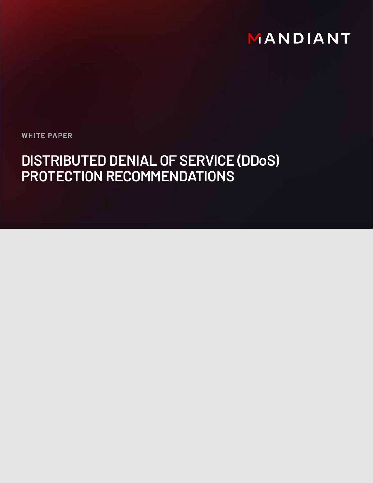# MANDIANT

**WHITE PAPER**

# **DISTRIBUTED DENIAL OF SERVICE (DDoS) PROTECTION RECOMMENDATIONS**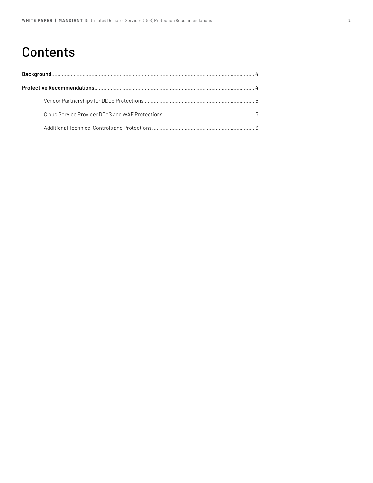## **Contents**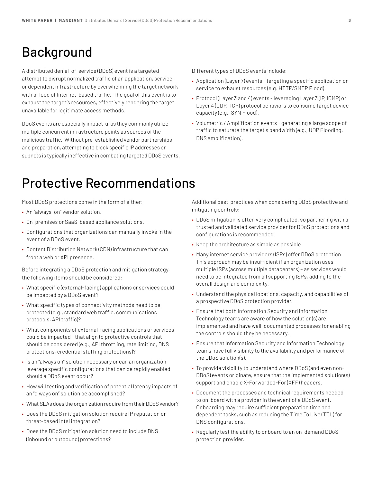### Background

A distributed denial-of-service (DDoS) event is a targeted attempt to disrupt normalized traffic of an application, service, or dependent infrastructure by overwhelming the target network with a flood of Internet-based traffic. The goal of this event is to exhaust the target's resources, effectively rendering the target unavailable for legitimate access methods.

DDoS events are especially impactful as they commonly utilize multiple concurrent infrastructure points as sources of the malicious traffic. Without pre-established vendor partnerships and preparation, attempting to block specific IP addresses or subnets is typically ineffective in combating targeted DDoS events. Different types of DDoS events include:

- Application (Layer 7) events targeting a specific application or service to exhaust resources (e.g. HTTP/SMTP Flood).
- Protocol (Layer 3 and 4) events leveraging Layer 3 (IP, ICMP) or Layer 4 (UDP, TCP) protocol behaviors to consume target device capacity (e.g., SYN Flood).
- Volumetric / Amplification events generating a large scope of traffic to saturate the target's bandwidth (e.g., UDP Flooding, DNS amplification).

### Protective Recommendations

Most DDoS protections come in the form of either:

- An "always-on" vendor solution.
- On-premises or SaaS-based appliance solutions.
- Configurations that organizations can manually invoke in the event of a DDoS event.
- Content Distribution Network (CDN) infrastructure that can front a web or API presence.

Before integrating a DDoS protection and mitigation strategy, the following items should be considered:

- What specific (external-facing) applications or services could be impacted by a DDoS event?
- What specific types of connectivity methods need to be protected (e.g., standard web traffic, communications protocols, API traffic)?
- What components of external-facing applications or services could be impacted - that align to protective controls that should be considered (e.g., API throttling, rate limiting, DNS protections, credential stuffing protections)?
- Is an "always on" solution necessary or can an organization leverage specific configurations that can be rapidly enabled should a DDoS event occur?
- How will testing and verification of potential latency impacts of an "always on" solution be accomplished?
- What SLAs does the organization require from their DDoS vendor?
- Does the DDoS mitigation solution require IP reputation or threat-based intel integration?
- Does the DDoS mitigation solution need to include DNS (inbound or outbound) protections?

Additional best-practices when considering DDoS protective and mitigating controls:

- DDoS mitigation is often very complicated, so partnering with a trusted and validated service provider for DDoS protections and configurations is recommended.
- Keep the architecture as simple as possible.
- Many internet service providers (ISPs) offer DDoS protection. This approach may be insufficient if an organization uses multiple ISPs (across multiple datacenters) – as services would need to be integrated from all supporting ISPs, adding to the overall design and complexity.
- Understand the physical locations, capacity, and capabilities of a prospective DDoS protection provider.
- Ensure that both Information Security and Information Technology teams are aware of how the solution(s) are implemented and have well-documented processes for enabling the controls should they be necessary.
- Ensure that Information Security and Information Technology teams have full visibility to the availability and performance of the DDoS solution(s).
- To provide visibility to understand where DDoS (and even non-DDoS) events originate, ensure that the implemented solution(s) support and enable X-Forwarded-For (XFF) headers.
- Document the processes and technical requirements needed to on-board with a provider in the event of a DDoS event. Onboarding may require sufficient preparation time and dependent tasks, such as reducing the Time To Live (TTL) for DNS configurations.
- Regularly test the ability to onboard to an on-demand DDoS protection provider.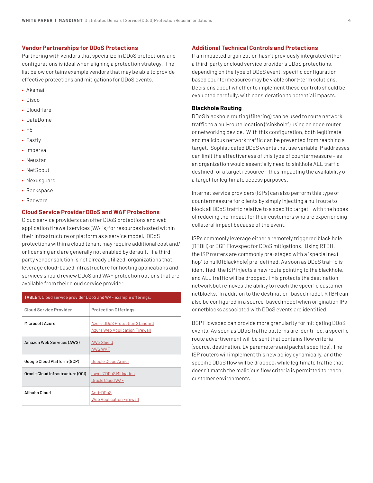#### **Vendor Partnerships for DDoS Protections**

Partnering with vendors that specialize in DDoS protections and configurations is ideal when aligning a protection strategy. The list below contains example vendors that may be able to provide effective protections and mitigations for DDoS events.

- Akamai
- Cisco
- Cloudflare
- DataDome
- F5
- Fastly
- Imperva
- Neustar
- NetScout
- Nexusguard
- Rackspace
- Radware

### **Cloud Service Provider DDoS and WAF Protections**

Cloud service providers can offer DDoS protections and web application firewall services (WAFs) for resources hosted within their infrastructure or platform as a service model. DDoS protections within a cloud tenant may require additional cost and/ or licensing and are generally not enabled by default. If a thirdparty vendor solution is not already utilized, organizations that leverage cloud-based infrastructure for hosting applications and services should review DDoS and WAF protection options that are available from their cloud service provider.

| <b>TABLE 1.</b> Cloud service provider DDoS and WAF example offerings. |                                                                                |  |  |
|------------------------------------------------------------------------|--------------------------------------------------------------------------------|--|--|
| <b>Cloud Service Provider</b>                                          | <b>Protection Offerings</b>                                                    |  |  |
| Microsoft Azure                                                        | <b>Azure DDoS Protection Standard</b><br><b>Azure Web Application Firewall</b> |  |  |
| Amazon Web Services (AWS)                                              | <b>AWS Shield</b><br><b>AWS WAF</b>                                            |  |  |
| Google Cloud Platform (GCP)                                            | <b>Google Cloud Armor</b>                                                      |  |  |
| Oracle Cloud Infrastructure (OCI)                                      | <b>Layer 7 DDoS Mitigation</b><br>Oracle Cloud WAF                             |  |  |
| Alibaba Cloud                                                          | Anti-DDoS<br><u>Web Application Firewall</u>                                   |  |  |

### **Additional Technical Controls and Protections**

If an impacted organization hasn't previously integrated either a third-party or cloud service provider's DDoS protections, depending on the type of DDoS event, specific configurationbased countermeasures may be viable short-term solutions. Decisions about whether to implement these controls should be evaluated carefully, with consideration to potential impacts.

#### **Blackhole Routing**

DDoS blackhole routing (filtering) can be used to route network traffic to a null-route location ("sinkhole") using an edge router or networking device. With this configuration, both legitimate and malicious network traffic can be prevented from reaching a target. Sophisticated DDoS events that use variable IP addresses can limit the effectiveness of this type of countermeasure – as an organization would essentially need to sinkhole ALL traffic destined for a target resource – thus impacting the availability of a target for legitimate access purposes.

Internet service providers (ISPs) can also perform this type of countermeasure for clients by simply injecting a null route to block all DDoS traffic relative to a specific target - with the hopes of reducing the impact for their customers who are experiencing collateral impact because of the event.

ISPs commonly leverage either a remotely triggered black hole (RTBH) or BGP Flowspec for DDoS mitigations. Using RTBH, the ISP routers are commonly pre-staged with a "special next hop" to null0 (blackhole) pre-defined. As soon as DDoS traffic is identified, the ISP injects a new route pointing to the blackhole, and ALL traffic will be dropped. This protects the destination network but removes the ability to reach the specific customer netblocks. In addition to the destination-based model, RTBH can also be configured in a source-based model when origination IPs or netblocks associated with DDoS events are identified.

BGP Flowspec can provide more granularity for mitigating DDoS events. As soon as DDoS traffic patterns are identified, a specific route advertisement will be sent that contains flow criteria (source, destination, L4 parameters and packet specifics). The ISP routers will implement this new policy dynamically, and the specific DDoS flow will be dropped, while legitimate traffic that doesn't match the malicious flow criteria is permitted to reach customer environments.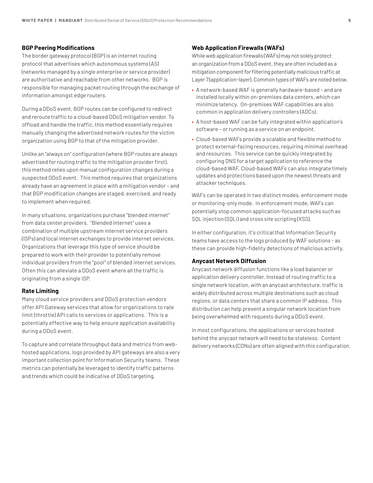#### **BGP Peering Modifications**

The border gateway protocol (BGP) is an internet routing protocol that advertises which autonomous systems (AS) (networks managed by a single enterprise or service provider) are authoritative and reachable from other networks. BGP is responsible for managing packet routing through the exchange of information amongst edge routers.

During a DDoS event, BGP routes can be configured to redirect and reroute traffic to a cloud-based DDoS mitigation vendor. To offload and handle the traffic, this method essentially requires manually changing the advertised network routes for the victim organization using BGP to that of the mitigation provider.

Unlike an "always on" configuration (where BGP routes are always advertised for routing traffic to the mitigation provider first), this method relies upon manual configuration changes during a suspected DDoS event. This method requires that organizations already have an agreement in place with a mitigation vendor – and that BGP modification changes are staged, exercised, and ready to implement when required.

In many situations, organizations purchase "blended internet" from data center providers. "Blended internet" uses a combination of multiple upstream internet service providers (ISPs) and local internet exchanges to provide internet services. Organizations that leverage this type of service should be prepared to work with their provider to potentially remove individual providers from the "pool" of blended internet services. Often this can alleviate a DDoS event where all the traffic is originating from a single ISP.

#### **Rate Limiting**

Many cloud service providers and DDoS protection vendors offer API Gateway services that allow for organizations to rate limit (throttle) API calls to services or applications. This is a potentially effective way to help ensure application availability during a DDoS event.

To capture and correlate throughput data and metrics from webhosted applications, logs provided by API gateways are also a very important collection point for Information Security teams. These metrics can potentially be leveraged to identify traffic patterns and trends which could be indicative of DDoS targeting.

#### **Web Application Firewalls (WAFs)**

While web application firewalls (WAFs) may not solely protect an organization from a DDoS event, they are often included as a mitigation component for filtering potentially malicious traffic at Layer 7 (application-layer). Common types of WAFs are noted below.

- A network-based WAF is generally hardware-based and are installed locally within on-premises data centers, which can minimize latency. On-premises WAF capabilities are also common in application delivery controllers (ADCs).
- A host-based WAF can be fully integrated within application's software – or running as a service on an endpoint.
- Cloud-based WAFs provide a scalable and flexible method to protect external-facing resources, requiring minimal overhead and resources. This service can be quickly integrated by configuring DNS for a target application to reference the cloud-based WAF. Cloud-based WAFs can also integrate timely updates and protections based upon the newest threats and attacker techniques.

WAFs can be operated in two distinct modes, enforcement mode or monitoring-only mode. In enforcement mode, WAFs can potentially stop common application-focused attacks such as SQL injection (SQLi) and cross site scripting (XSS).

In either configuration, it's critical that Information Security teams have access to the logs produced by WAF solutions - as these can provide high-fidelity detections of malicious activity.

#### **Anycast Network Diffusion**

Anycast network diffusion functions like a load balancer or application delivery controller. Instead of routing traffic to a single network location, with an anycast architecture, traffic is widely distributed across multiple destinations such as cloud regions, or data centers that share a common IP address. This distribution can help prevent a singular network location from being overwhelmed with requests during a DDoS event.

In most configurations, the applications or services hosted behind the anycast network will need to be stateless. Content delivery networks (CDNs) are often aligned with this configuration.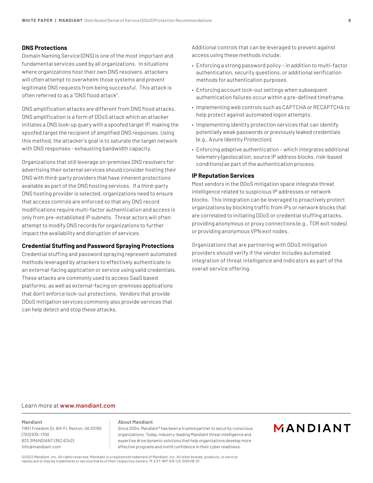### **DNS Protections**

Domain Naming Service (DNS) is one of the most important and fundamental services used by all organizations. In situations where organizations host their own DNS resolvers, attackers will often attempt to overwhelm those systems and prevent legitimate DNS requests from being successful. This attack is often referred to as a "DNS flood attack".

DNS amplification attacks are different from DNS flood attacks. DNS amplification is a form of DDoS attack which an attacker initiates a DNS look-up query with a spoofed target IP, making the spoofed target the recipient of amplified DNS responses. Using this method, the attacker's goal is to saturate the target network with DNS responses - exhausting bandwidth capacity.

Organizations that still leverage on-premises DNS resolvers for advertising their external services should consider hosting their DNS with third-party providers that have inherent protections available as part of the DNS hosting services. If a third-party DNS hosting provider is selected, organizations need to ensure that access controls are enforced so that any DNS record modifications require multi-factor authentication and access is only from pre-established IP subnets. Threat actors will often attempt to modify DNS records for organizations to further impact the availability and disruption of services.

#### **Credential Stuffing and Password Spraying Protections**

Credential stuffing and password spraying represent automated methods leveraged by attackers to effectively authenticate to an external-facing application or service using valid credentials. These attacks are commonly used to access SaaS based platforms, as well as external-facing on-premises applications that don't enforce lock-out protections. Vendors that provide DDoS mitigation services commonly also provide services that can help detect and stop these attacks.

Additional controls that can be leveraged to prevent against access using these methods include:

- Enforcing a strong password policy in addition to multi-factor authentication, security questions, or additional verification methods for authentication purposes.
- Enforcing account lock-out settings when subsequent authentication failures occur within a pre-defined timeframe.
- Implementing web controls such as CAPTCHA or RECAPTCHA to help protect against automated logon attempts.
- Implementing identity protection services that can identify potentially weak passwords or previously leaked credentials (e.g., Azure Identity Protection).
- Enforcing adaptive authentication which integrates additional telemetry (geolocation, source IP address blocks, risk-based conditions) as part of the authentication process.

#### **IP Reputation Services**

Most vendors in the DDoS mitigation space integrate threat intelligence related to suspicious IP addresses or network blocks. This integration can be leveraged to proactively protect organizations by blocking traffic from IPs or network blocks that are correlated to initiating DDoS or credential stuffing attacks, providing anonymous or proxy connections (e.g., TOR exit nodes) or providing anonymous VPN exit nodes.

Organizations that are partnering with DDoS mitigation providers should verify if the vendor includes automated integration of threat intelligence and indicators as part of the overall service offering.

### Learn more at **www.mandiant.com**

#### **Mandiant**

11951 Freedom Dr, 6th Fl, Reston, VA 20190 (703) 935-1700 833.3MANDIANT (362.6342) info@mandiant.com

#### **About Mandiant**

Since 2004, Mandiant® has been a trusted partner to security-conscious organizations. Today, industry-leading Mandiant threat intelligence and expertise drive dynamic solutions that help organizations develop more effective programs and instill confidence in their cyber readiness.

### MANDIANT

©2022 Mandiant, Inc. All rights reserved. Mandiant is a registered trademark of Mandiant, Inc. All other brands, products, or service names are or may be trademarks or service marks of their respective owners. M-EXT-WP-EN-US-000418-01